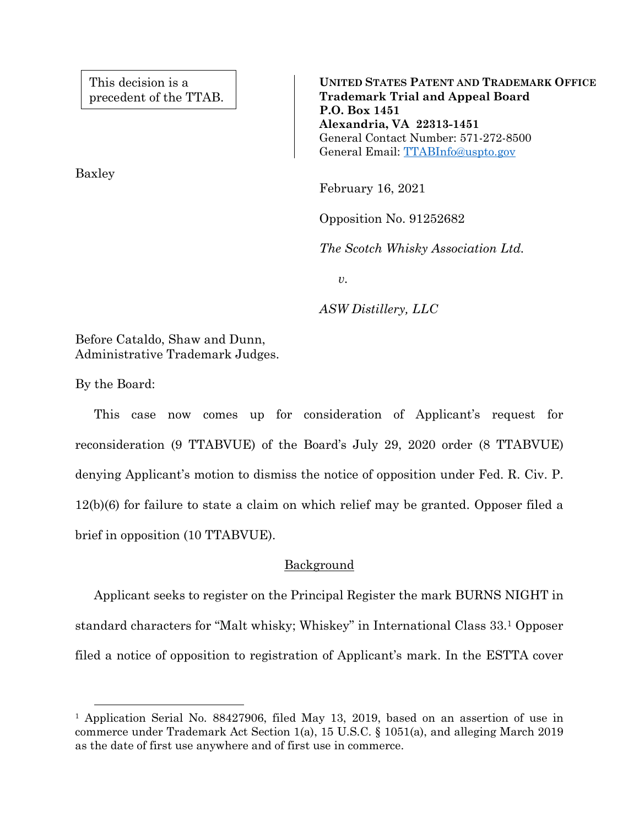This decision is a precedent of the TTAB.

Baxley

**UNITED STATES PATENT AND TRADEMARK OFFICE Trademark Trial and Appeal Board P.O. Box 1451 Alexandria, VA 22313-1451** General Contact Number: 571-272-8500 General Email: [TTABInfo@uspto.gov](mailto:TTABInfo@uspto.gov)

February 16, 2021

Opposition No. 91252682

*The Scotch Whisky Association Ltd.*

*v.*

*ASW Distillery, LLC*

Before Cataldo, Shaw and Dunn, Administrative Trademark Judges.

By the Board:

l

This case now comes up for consideration of Applicant's request for reconsideration (9 TTABVUE) of the Board's July 29, 2020 order (8 TTABVUE) denying Applicant's motion to dismiss the notice of opposition under Fed. R. Civ. P. 12(b)(6) for failure to state a claim on which relief may be granted. Opposer filed a brief in opposition (10 TTABVUE).

## Background

Applicant seeks to register on the Principal Register the mark BURNS NIGHT in standard characters for "Malt whisky; Whiskey" in International Class 33.<sup>1</sup> Opposer filed a notice of opposition to registration of Applicant's mark. In the ESTTA cover

<sup>&</sup>lt;sup>1</sup> Application Serial No. 88427906, filed May 13, 2019, based on an assertion of use in commerce under Trademark Act Section 1(a), 15 U.S.C. § 1051(a), and alleging March 2019 as the date of first use anywhere and of first use in commerce.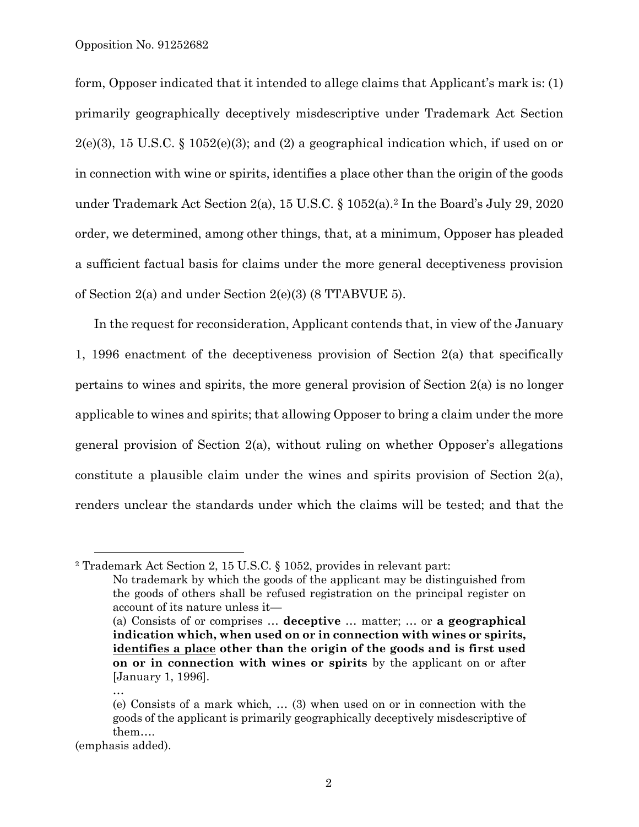Opposition No. 91252682

form, Opposer indicated that it intended to allege claims that Applicant's mark is: (1) primarily geographically deceptively misdescriptive under Trademark Act Section  $2(e)(3)$ , 15 U.S.C. § 1052(e)(3); and (2) a geographical indication which, if used on or in connection with wine or spirits, identifies a place other than the origin of the goods under Trademark Act Section 2(a), 15 U.S.C. § 1052(a).<sup>2</sup> In the Board's July 29, 2020 order, we determined, among other things, that, at a minimum, Opposer has pleaded a sufficient factual basis for claims under the more general deceptiveness provision of Section 2(a) and under Section 2(e)(3) (8 TTABVUE 5).

In the request for reconsideration, Applicant contends that, in view of the January 1, 1996 enactment of the deceptiveness provision of Section 2(a) that specifically pertains to wines and spirits, the more general provision of Section 2(a) is no longer applicable to wines and spirits; that allowing Opposer to bring a claim under the more general provision of Section 2(a), without ruling on whether Opposer's allegations constitute a plausible claim under the wines and spirits provision of Section 2(a), renders unclear the standards under which the claims will be tested; and that the

l

<sup>2</sup> Trademark Act Section 2, 15 U.S.C. § 1052, provides in relevant part:

No trademark by which the goods of the applicant may be distinguished from the goods of others shall be refused registration on the principal register on account of its nature unless it—

<sup>(</sup>a) Consists of or comprises … **deceptive** … matter; … or **a geographical indication which, when used on or in connection with wines or spirits, identifies a place other than the origin of the goods and is first used on or in connection with wines or spirits** by the applicant on or after [January 1, 1996].

<sup>…</sup>

<sup>(</sup>e) Consists of a mark which, … (3) when used on or in connection with the goods of the applicant is primarily geographically deceptively misdescriptive of them….

<sup>(</sup>emphasis added).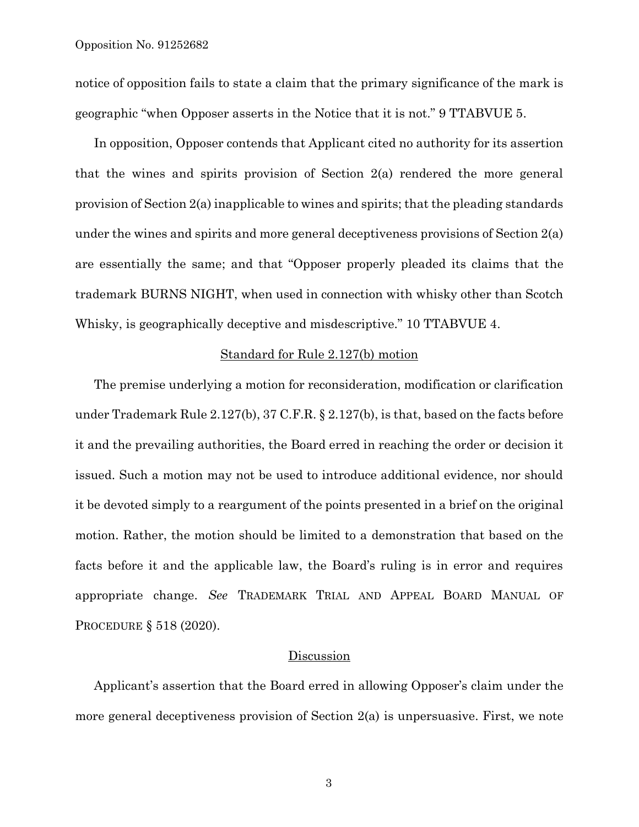notice of opposition fails to state a claim that the primary significance of the mark is geographic "when Opposer asserts in the Notice that it is not." 9 TTABVUE 5.

In opposition, Opposer contends that Applicant cited no authority for its assertion that the wines and spirits provision of Section 2(a) rendered the more general provision of Section 2(a) inapplicable to wines and spirits; that the pleading standards under the wines and spirits and more general deceptiveness provisions of Section 2(a) are essentially the same; and that "Opposer properly pleaded its claims that the trademark BURNS NIGHT, when used in connection with whisky other than Scotch Whisky, is geographically deceptive and misdescriptive." 10 TTABVUE 4.

## Standard for Rule 2.127(b) motion

The premise underlying a motion for reconsideration, modification or clarification under Trademark Rule 2.127(b), 37 C.F.R. § 2.127(b), is that, based on the facts before it and the prevailing authorities, the Board erred in reaching the order or decision it issued. Such a motion may not be used to introduce additional evidence, nor should it be devoted simply to a reargument of the points presented in a brief on the original motion. Rather, the motion should be limited to a demonstration that based on the facts before it and the applicable law, the Board's ruling is in error and requires appropriate change. *See* TRADEMARK TRIAL AND APPEAL BOARD MANUAL OF PROCEDURE § 518 (2020).

## Discussion

Applicant's assertion that the Board erred in allowing Opposer's claim under the more general deceptiveness provision of Section 2(a) is unpersuasive. First, we note

3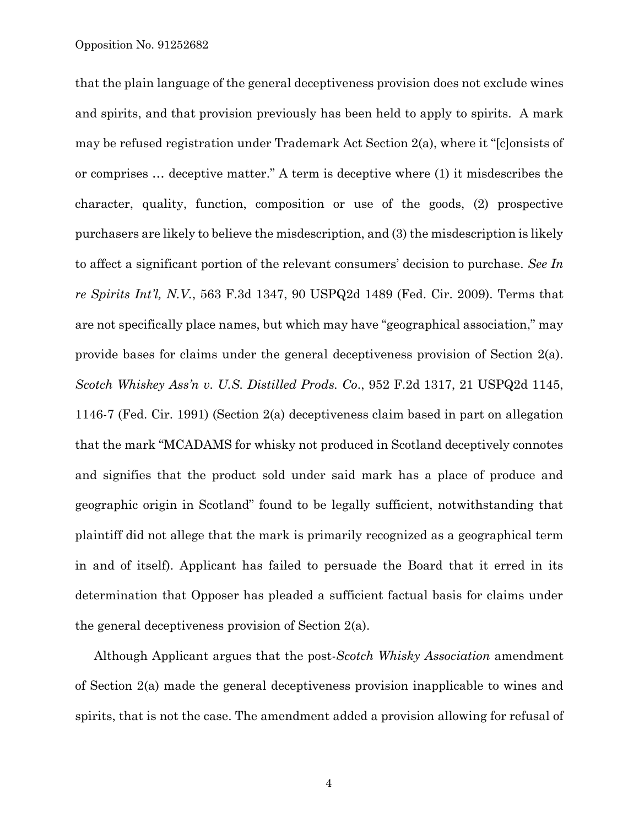that the plain language of the general deceptiveness provision does not exclude wines and spirits, and that provision previously has been held to apply to spirits. A mark may be refused registration under Trademark Act Section 2(a), where it "[c]onsists of or comprises … deceptive matter." A term is deceptive where (1) it misdescribes the character, quality, function, composition or use of the goods, (2) prospective purchasers are likely to believe the misdescription, and (3) the misdescription is likely to affect a significant portion of the relevant consumers' decision to purchase. *See In re Spirits Int'l, N.V.*, 563 F.3d 1347, 90 USPQ2d 1489 (Fed. Cir. 2009). Terms that are not specifically place names, but which may have "geographical association," may provide bases for claims under the general deceptiveness provision of Section 2(a). *Scotch Whiskey Ass'n v. U.S. Distilled Prods. Co*., 952 F.2d 1317, 21 USPQ2d 1145, 1146-7 (Fed. Cir. 1991) (Section 2(a) deceptiveness claim based in part on allegation that the mark "MCADAMS for whisky not produced in Scotland deceptively connotes and signifies that the product sold under said mark has a place of produce and geographic origin in Scotland" found to be legally sufficient, notwithstanding that plaintiff did not allege that the mark is primarily recognized as a geographical term in and of itself). Applicant has failed to persuade the Board that it erred in its determination that Opposer has pleaded a sufficient factual basis for claims under the general deceptiveness provision of Section 2(a).

Although Applicant argues that the post-*Scotch Whisky Association* amendment of Section 2(a) made the general deceptiveness provision inapplicable to wines and spirits, that is not the case. The amendment added a provision allowing for refusal of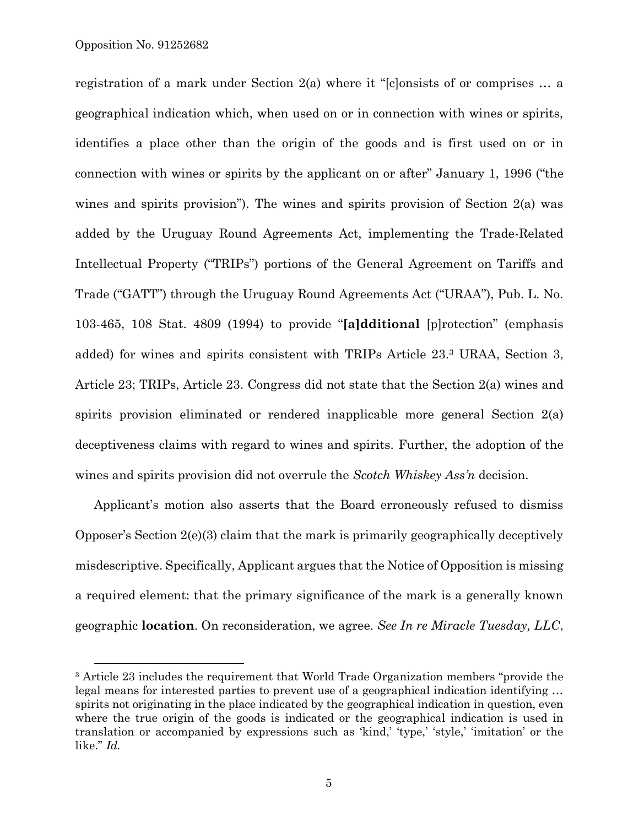l

registration of a mark under Section 2(a) where it "[c]onsists of or comprises … a geographical indication which, when used on or in connection with wines or spirits, identifies a place other than the origin of the goods and is first used on or in connection with wines or spirits by the applicant on or after" January 1, 1996 ("the wines and spirits provision"). The wines and spirits provision of Section 2(a) was added by the Uruguay Round Agreements Act, implementing the Trade-Related Intellectual Property ("TRIPs") portions of the General Agreement on Tariffs and Trade ("GATT") through the Uruguay Round Agreements Act ("URAA"), Pub. L. No. 103-465, 108 Stat. 4809 (1994) to provide "**[a]dditional** [p]rotection" (emphasis added) for wines and spirits consistent with TRIPs Article 23. <sup>3</sup> URAA, Section 3, Article 23; TRIPs, Article 23. Congress did not state that the Section 2(a) wines and spirits provision eliminated or rendered inapplicable more general Section 2(a) deceptiveness claims with regard to wines and spirits. Further, the adoption of the wines and spirits provision did not overrule the *Scotch Whiskey Ass'n* decision.

Applicant's motion also asserts that the Board erroneously refused to dismiss Opposer's Section 2(e)(3) claim that the mark is primarily geographically deceptively misdescriptive. Specifically, Applicant argues that the Notice of Opposition is missing a required element: that the primary significance of the mark is a generally known geographic **location**. On reconsideration, we agree. *See In re Miracle Tuesday, LLC*,

<sup>&</sup>lt;sup>3</sup> Article 23 includes the requirement that World Trade Organization members "provide the legal means for interested parties to prevent use of a geographical indication identifying … spirits not originating in the place indicated by the geographical indication in question, even where the true origin of the goods is indicated or the geographical indication is used in translation or accompanied by expressions such as 'kind,' 'type,' 'style,' 'imitation' or the like." *Id.*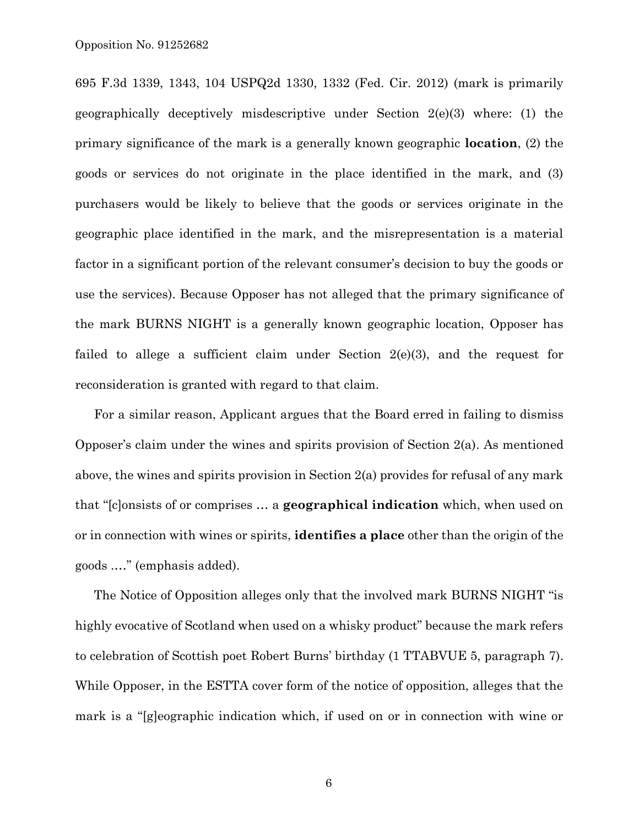695 F.3d 1339, 1343, 104 USPQ2d 1330, 1332 (Fed. Cir. 2012) (mark is primarily geographically deceptively misdescriptive under Section 2(e)(3) where: (1) the primary significance of the mark is a generally known geographic **location**, (2) the goods or services do not originate in the place identified in the mark, and (3) purchasers would be likely to believe that the goods or services originate in the geographic place identified in the mark, and the misrepresentation is a material factor in a significant portion of the relevant consumer's decision to buy the goods or use the services). Because Opposer has not alleged that the primary significance of the mark BURNS NIGHT is a generally known geographic location, Opposer has failed to allege a sufficient claim under Section  $2(e)(3)$ , and the request for reconsideration is granted with regard to that claim.

For a similar reason, Applicant argues that the Board erred in failing to dismiss Opposer's claim under the wines and spirits provision of Section 2(a). As mentioned above, the wines and spirits provision in Section 2(a) provides for refusal of any mark that "[c]onsists of or comprises … a **geographical indication** which, when used on or in connection with wines or spirits, **identifies a place** other than the origin of the goods .…" (emphasis added).

The Notice of Opposition alleges only that the involved mark BURNS NIGHT "is highly evocative of Scotland when used on a whisky product" because the mark refers to celebration of Scottish poet Robert Burns' birthday (1 TTABVUE 5, paragraph 7). While Opposer, in the ESTTA cover form of the notice of opposition, alleges that the mark is a "[g]eographic indication which, if used on or in connection with wine or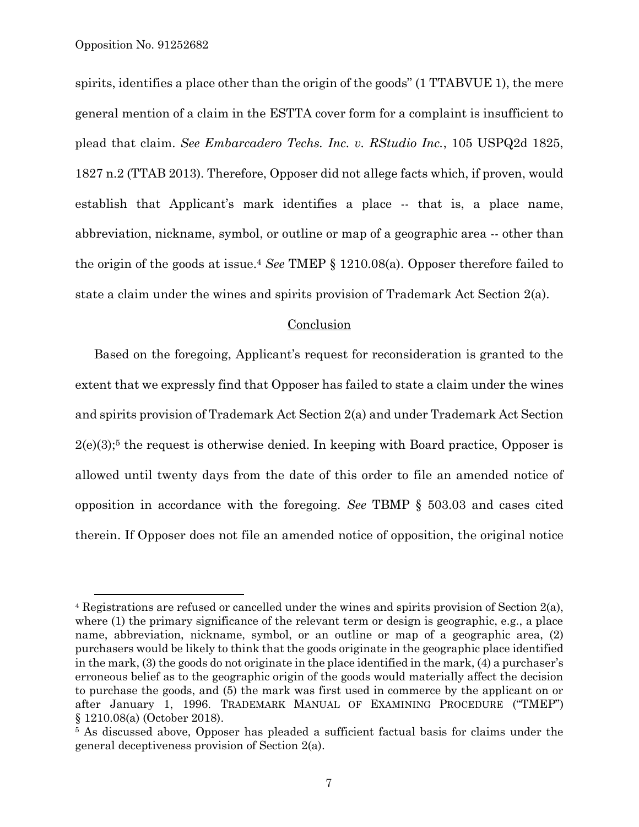Opposition No. 91252682

l

spirits, identifies a place other than the origin of the goods" (1 TTABVUE 1), the mere general mention of a claim in the ESTTA cover form for a complaint is insufficient to plead that claim. *See Embarcadero Techs. Inc. v. RStudio Inc.*, 105 USPQ2d 1825, 1827 n.2 (TTAB 2013). Therefore, Opposer did not allege facts which, if proven, would establish that Applicant's mark identifies a place -- that is, a place name, abbreviation, nickname, symbol, or outline or map of a geographic area -- other than the origin of the goods at issue.<sup>4</sup> *See* TMEP § 1210.08(a). Opposer therefore failed to state a claim under the wines and spirits provision of Trademark Act Section 2(a).

## Conclusion

Based on the foregoing, Applicant's request for reconsideration is granted to the extent that we expressly find that Opposer has failed to state a claim under the wines and spirits provision of Trademark Act Section 2(a) and under Trademark Act Section 2(e)(3); <sup>5</sup> the request is otherwise denied. In keeping with Board practice, Opposer is allowed until twenty days from the date of this order to file an amended notice of opposition in accordance with the foregoing. *See* TBMP § 503.03 and cases cited therein. If Opposer does not file an amended notice of opposition, the original notice

<sup>&</sup>lt;sup>4</sup> Registrations are refused or cancelled under the wines and spirits provision of Section  $2(a)$ , where (1) the primary significance of the relevant term or design is geographic, e.g., a place name, abbreviation, nickname, symbol, or an outline or map of a geographic area, (2) purchasers would be likely to think that the goods originate in the geographic place identified in the mark, (3) the goods do not originate in the place identified in the mark, (4) a purchaser's erroneous belief as to the geographic origin of the goods would materially affect the decision to purchase the goods, and (5) the mark was first used in commerce by the applicant on or after January 1, 1996. TRADEMARK MANUAL OF EXAMINING PROCEDURE ("TMEP") § 1210.08(a) (October 2018).

<sup>5</sup> As discussed above, Opposer has pleaded a sufficient factual basis for claims under the general deceptiveness provision of Section 2(a).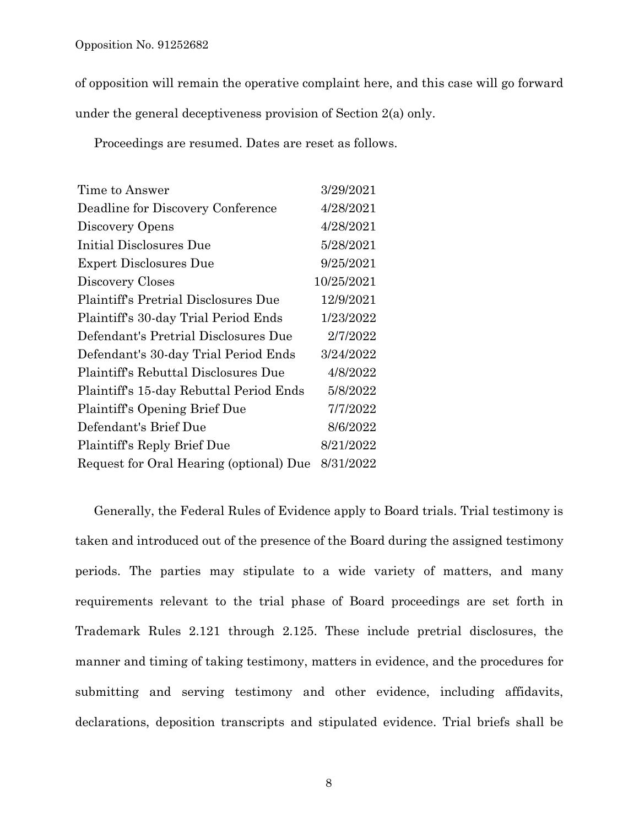of opposition will remain the operative complaint here, and this case will go forward under the general deceptiveness provision of Section 2(a) only.

Proceedings are resumed. Dates are reset as follows.

| Time to Answer                              | 3/29/2021  |
|---------------------------------------------|------------|
| Deadline for Discovery Conference           | 4/28/2021  |
| Discovery Opens                             | 4/28/2021  |
| Initial Disclosures Due                     | 5/28/2021  |
| <b>Expert Disclosures Due</b>               | 9/25/2021  |
| Discovery Closes                            | 10/25/2021 |
| <b>Plaintiff's Pretrial Disclosures Due</b> | 12/9/2021  |
| Plaintiff's 30-day Trial Period Ends        | 1/23/2022  |
| Defendant's Pretrial Disclosures Due        | 2/7/2022   |
| Defendant's 30-day Trial Period Ends        | 3/24/2022  |
| <b>Plaintiff's Rebuttal Disclosures Due</b> | 4/8/2022   |
| Plaintiff's 15-day Rebuttal Period Ends     | 5/8/2022   |
| Plaintiff's Opening Brief Due               | 7/7/2022   |
| Defendant's Brief Due                       | 8/6/2022   |
| Plaintiff's Reply Brief Due                 | 8/21/2022  |
| Request for Oral Hearing (optional) Due     | 8/31/2022  |

Generally, the Federal Rules of Evidence apply to Board trials. Trial testimony is taken and introduced out of the presence of the Board during the assigned testimony periods. The parties may stipulate to a wide variety of matters, and many requirements relevant to the trial phase of Board proceedings are set forth in Trademark Rules 2.121 through 2.125. These include pretrial disclosures, the manner and timing of taking testimony, matters in evidence, and the procedures for submitting and serving testimony and other evidence, including affidavits, declarations, deposition transcripts and stipulated evidence. Trial briefs shall be